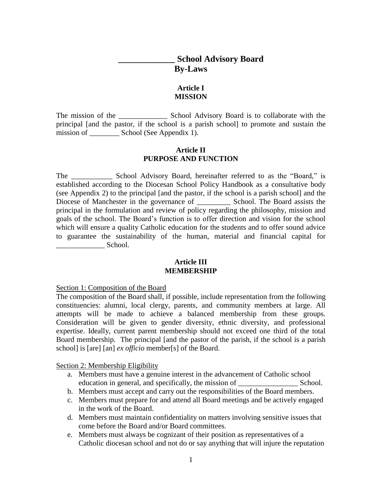# **\_\_\_\_\_\_\_\_\_\_\_\_\_ School Advisory Board By-Laws**

# **Article I MISSION**

The mission of the \_\_\_\_\_\_\_\_\_\_\_\_\_\_\_\_\_\_\_\_\_ School Advisory Board is to collaborate with the principal [and the pastor, if the school is a parish school] to promote and sustain the mission of \_\_\_\_\_\_\_\_\_\_ School (See Appendix 1).

## **Article II PURPOSE AND FUNCTION**

The School Advisory Board, hereinafter referred to as the "Board," is established according to the Diocesan School Policy Handbook as a consultative body (see Appendix 2) to the principal [and the pastor, if the school is a parish school] and the Diocese of Manchester in the governance of \_\_\_\_\_\_\_\_\_ School. The Board assists the principal in the formulation and review of policy regarding the philosophy, mission and goals of the school. The Board's function is to offer direction and vision for the school which will ensure a quality Catholic education for the students and to offer sound advice to guarantee the sustainability of the human, material and financial capital for  $School.$ 

#### **Article III MEMBERSHIP**

Section 1: Composition of the Board

The composition of the Board shall, if possible, include representation from the following constituencies: alumni, local clergy, parents, and community members at large. All attempts will be made to achieve a balanced membership from these groups. Consideration will be given to gender diversity, ethnic diversity, and professional expertise. Ideally, current parent membership should not exceed one third of the total Board membership. The principal [and the pastor of the parish, if the school is a parish school] is [are] [an] *ex officio* member[s] of the Board.

Section 2: Membership Eligibility

- a. Members must have a genuine interest in the advancement of Catholic school education in general, and specifically, the mission of School.
- b. Members must accept and carry out the responsibilities of the Board members.
- c. Members must prepare for and attend all Board meetings and be actively engaged in the work of the Board.
- d. Members must maintain confidentiality on matters involving sensitive issues that come before the Board and/or Board committees.
- e. Members must always be cognizant of their position as representatives of a Catholic diocesan school and not do or say anything that will injure the reputation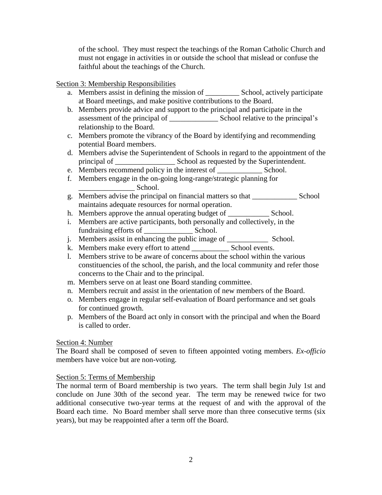of the school. They must respect the teachings of the Roman Catholic Church and must not engage in activities in or outside the school that mislead or confuse the faithful about the teachings of the Church.

Section 3: Membership Responsibilities

- a. Members assist in defining the mission of \_\_\_\_\_\_\_\_\_ School, actively participate at Board meetings, and make positive contributions to the Board.
- b. Members provide advice and support to the principal and participate in the assessment of the principal of \_\_\_\_\_\_\_\_\_\_\_\_\_ School relative to the principal's relationship to the Board.
- c. Members promote the vibrancy of the Board by identifying and recommending potential Board members.
- d. Members advise the Superintendent of Schools in regard to the appointment of the principal of \_\_\_\_\_\_\_\_\_\_\_\_\_\_\_\_\_\_\_\_\_ School as requested by the Superintendent.
- e. Members recommend policy in the interest of  $\sum_{n=1}^{\infty}$  School.
- f. Members engage in the on-going long-range/strategic planning for  $School.$
- g. Members advise the principal on financial matters so that \_\_\_\_\_\_\_\_\_\_\_\_ School maintains adequate resources for normal operation.
- h. Members approve the annual operating budget of \_\_\_\_\_\_\_\_\_\_\_\_\_\_\_\_\_\_\_ School.
- i. Members are active participants, both personally and collectively, in the fundraising efforts of School.
- j. Members assist in enhancing the public image of \_\_\_\_\_\_\_\_\_\_\_ School.
- k. Members make every effort to attend School events.
- l. Members strive to be aware of concerns about the school within the various constituencies of the school, the parish, and the local community and refer those concerns to the Chair and to the principal.
- m. Members serve on at least one Board standing committee.
- n. Members recruit and assist in the orientation of new members of the Board.
- o. Members engage in regular self-evaluation of Board performance and set goals for continued growth.
- p. Members of the Board act only in consort with the principal and when the Board is called to order.

# Section 4: Number

The Board shall be composed of seven to fifteen appointed voting members. *Ex-officio* members have voice but are non-voting.

# Section 5: Terms of Membership

The normal term of Board membership is two years. The term shall begin July 1st and conclude on June 30th of the second year. The term may be renewed twice for two additional consecutive two-year terms at the request of and with the approval of the Board each time. No Board member shall serve more than three consecutive terms (six years), but may be reappointed after a term off the Board.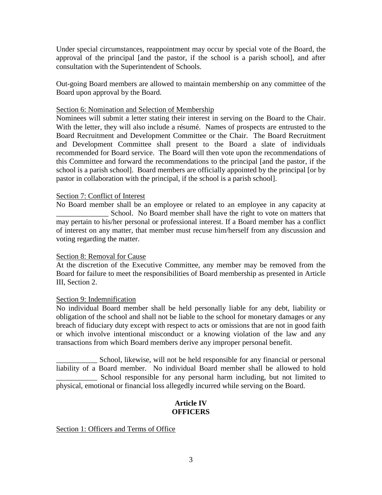Under special circumstances, reappointment may occur by special vote of the Board, the approval of the principal [and the pastor, if the school is a parish school], and after consultation with the Superintendent of Schools.

Out-going Board members are allowed to maintain membership on any committee of the Board upon approval by the Board.

### Section 6: Nomination and Selection of Membership

Nominees will submit a letter stating their interest in serving on the Board to the Chair. With the letter, they will also include a résumé. Names of prospects are entrusted to the Board Recruitment and Development Committee or the Chair. The Board Recruitment and Development Committee shall present to the Board a slate of individuals recommended for Board service. The Board will then vote upon the recommendations of this Committee and forward the recommendations to the principal [and the pastor, if the school is a parish school]. Board members are officially appointed by the principal [or by pastor in collaboration with the principal, if the school is a parish school].

#### Section 7: Conflict of Interest

No Board member shall be an employee or related to an employee in any capacity at School. No Board member shall have the right to vote on matters that may pertain to his/her personal or professional interest. If a Board member has a conflict of interest on any matter, that member must recuse him/herself from any discussion and voting regarding the matter.

#### Section 8: Removal for Cause

At the discretion of the Executive Committee, any member may be removed from the Board for failure to meet the responsibilities of Board membership as presented in Article III, Section 2.

#### Section 9: Indemnification

No individual Board member shall be held personally liable for any debt, liability or obligation of the school and shall not be liable to the school for monetary damages or any breach of fiduciary duty except with respect to acts or omissions that are not in good faith or which involve intentional misconduct or a knowing violation of the law and any transactions from which Board members derive any improper personal benefit.

\_\_\_\_\_\_\_\_\_\_\_ School, likewise, will not be held responsible for any financial or personal liability of a Board member. No individual Board member shall be allowed to hold School responsible for any personal harm including, but not limited to physical, emotional or financial loss allegedly incurred while serving on the Board.

### **Article IV OFFICERS**

### Section 1: Officers and Terms of Office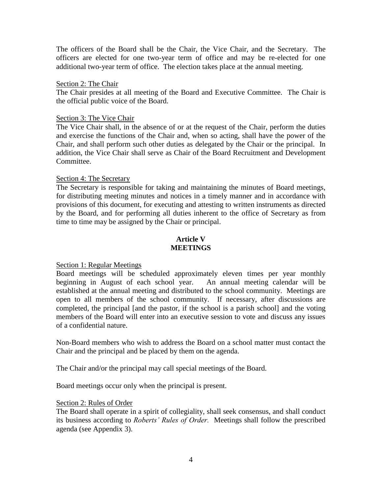The officers of the Board shall be the Chair, the Vice Chair, and the Secretary. The officers are elected for one two-year term of office and may be re-elected for one additional two-year term of office. The election takes place at the annual meeting.

#### Section 2: The Chair

The Chair presides at all meeting of the Board and Executive Committee. The Chair is the official public voice of the Board.

#### Section 3: The Vice Chair

The Vice Chair shall, in the absence of or at the request of the Chair, perform the duties and exercise the functions of the Chair and, when so acting, shall have the power of the Chair, and shall perform such other duties as delegated by the Chair or the principal. In addition, the Vice Chair shall serve as Chair of the Board Recruitment and Development Committee.

#### Section 4: The Secretary

The Secretary is responsible for taking and maintaining the minutes of Board meetings, for distributing meeting minutes and notices in a timely manner and in accordance with provisions of this document, for executing and attesting to written instruments as directed by the Board, and for performing all duties inherent to the office of Secretary as from time to time may be assigned by the Chair or principal.

## **Article V MEETINGS**

### Section 1: Regular Meetings

Board meetings will be scheduled approximately eleven times per year monthly beginning in August of each school year. An annual meeting calendar will be established at the annual meeting and distributed to the school community. Meetings are open to all members of the school community. If necessary, after discussions are completed, the principal [and the pastor, if the school is a parish school] and the voting members of the Board will enter into an executive session to vote and discuss any issues of a confidential nature.

Non-Board members who wish to address the Board on a school matter must contact the Chair and the principal and be placed by them on the agenda.

The Chair and/or the principal may call special meetings of the Board.

Board meetings occur only when the principal is present.

### Section 2: Rules of Order

The Board shall operate in a spirit of collegiality, shall seek consensus, and shall conduct its business according to *Roberts' Rules of Order.* Meetings shall follow the prescribed agenda (see Appendix 3).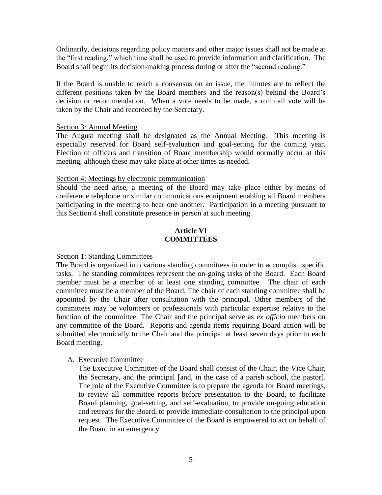Ordinarily, decisions regarding policy matters and other major issues shall not be made at the "first reading," which time shall be used to provide information and clarification. The Board shall begin its decision-making process during or after the "second reading."

If the Board is unable to reach a consensus on an issue, the minutes are to reflect the different positions taken by the Board members and the reason(s) behind the Board's decision or recommendation. When a vote needs to be made, a roll call vote will be taken by the Chair and recorded by the Secretary.

#### Section 3*:* Annual Meeting

The August meeting shall be designated as the Annual Meeting. This meeting is especially reserved for Board self-evaluation and goal-setting for the coming year. Election of officers and transition of Board membership would normally occur at this meeting, although these may take place at other times as needed.

#### Section 4: Meetings by electronic communication

Should the need arise, a meeting of the Board may take place either by means of conference telephone or similar communications equipment enabling all Board members participating in the meeting to hear one another. Participation in a meeting pursuant to this Section 4 shall constitute presence in person at such meeting.

## **Article VI COMMITTEES**

### Section 1: Standing Committees

The Board is organized into various standing committees in order to accomplish specific tasks. The standing committees represent the on-going tasks of the Board. Each Board member must be a member of at least one standing committee. The chair of each committee must be a member of the Board. The chair of each standing committee shall be appointed by the Chair after consultation with the principal. Other members of the committees may be volunteers or professionals with particular expertise relative to the function of the committee. The Chair and the principal serve as *ex officio* members on any committee of the Board. Reports and agenda items requiring Board action will be submitted electronically to the Chair and the principal at least seven days prior to each Board meeting.

### A. Executive Committee

The Executive Committee of the Board shall consist of the Chair, the Vice Chair, the Secretary, and the principal [and, in the case of a parish school, the pastor]. The role of the Executive Committee is to prepare the agenda for Board meetings, to review all committee reports before presentation to the Board, to facilitate Board planning, goal-setting, and self-evaluation, to provide on-going education and retreats for the Board, to provide immediate consultation to the principal upon request. The Executive Committee of the Board is empowered to act on behalf of the Board in an emergency.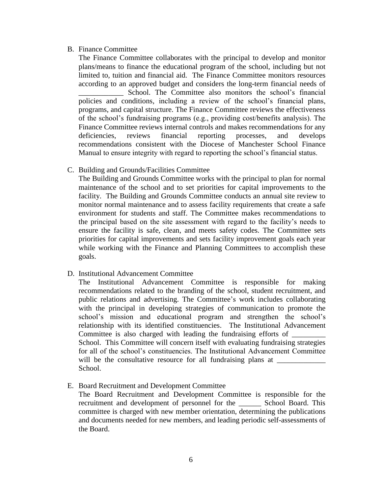#### B. Finance Committee

The Finance Committee collaborates with the principal to develop and monitor plans/means to finance the educational program of the school, including but not limited to, tuition and financial aid. The Finance Committee monitors resources according to an approved budget and considers the long-term financial needs of School. The Committee also monitors the school's financial policies and conditions, including a review of the school's financial plans, programs, and capital structure. The Finance Committee reviews the effectiveness of the school's fundraising programs (e.g., providing cost/benefits analysis). The Finance Committee reviews internal controls and makes recommendations for any deficiencies, reviews financial reporting processes, and develops recommendations consistent with the Diocese of Manchester School Finance Manual to ensure integrity with regard to reporting the school's financial status.

C. Building and Grounds/Facilities Committee

The Building and Grounds Committee works with the principal to plan for normal maintenance of the school and to set priorities for capital improvements to the facility. The Building and Grounds Committee conducts an annual site review to monitor normal maintenance and to assess facility requirements that create a safe environment for students and staff. The Committee makes recommendations to the principal based on the site assessment with regard to the facility's needs to ensure the facility is safe, clean, and meets safety codes. The Committee sets priorities for capital improvements and sets facility improvement goals each year while working with the Finance and Planning Committees to accomplish these goals.

### D. Institutional Advancement Committee

The Institutional Advancement Committee is responsible for making recommendations related to the branding of the school, student recruitment, and public relations and advertising. The Committee's work includes collaborating with the principal in developing strategies of communication to promote the school's mission and educational program and strengthen the school's relationship with its identified constituencies. The Institutional Advancement Committee is also charged with leading the fundraising efforts of School. This Committee will concern itself with evaluating fundraising strategies for all of the school's constituencies. The Institutional Advancement Committee will be the consultative resource for all fundraising plans at School.

### E. Board Recruitment and Development Committee

The Board Recruitment and Development Committee is responsible for the recruitment and development of personnel for the \_\_\_\_\_\_ School Board. This committee is charged with new member orientation, determining the publications and documents needed for new members, and leading periodic self-assessments of the Board.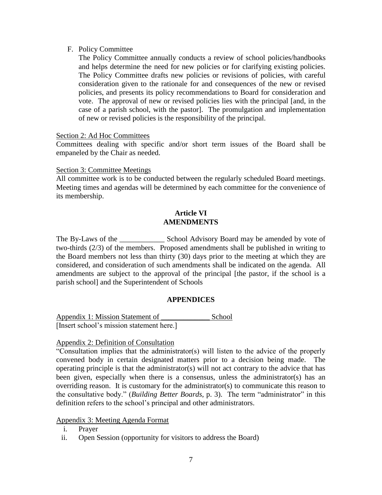#### F. Policy Committee

The Policy Committee annually conducts a review of school policies/handbooks and helps determine the need for new policies or for clarifying existing policies. The Policy Committee drafts new policies or revisions of policies, with careful consideration given to the rationale for and consequences of the new or revised policies, and presents its policy recommendations to Board for consideration and vote. The approval of new or revised policies lies with the principal [and, in the case of a parish school, with the pastor]. The promulgation and implementation of new or revised policies is the responsibility of the principal.

Section 2: Ad Hoc Committees

Committees dealing with specific and/or short term issues of the Board shall be empaneled by the Chair as needed.

#### Section 3: Committee Meetings

All committee work is to be conducted between the regularly scheduled Board meetings. Meeting times and agendas will be determined by each committee for the convenience of its membership.

## **Article VI AMENDMENTS**

The By-Laws of the \_\_\_\_\_\_\_\_\_\_\_\_\_\_\_\_ School Advisory Board may be amended by vote of two-thirds (2/3) of the members. Proposed amendments shall be published in writing to the Board members not less than thirty (30) days prior to the meeting at which they are considered, and consideration of such amendments shall be indicated on the agenda. All amendments are subject to the approval of the principal [the pastor, if the school is a parish school] and the Superintendent of Schools

### **APPENDICES**

Appendix 1: Mission Statement of \_\_\_\_\_\_\_\_\_\_\_\_\_ School [Insert school's mission statement here.]

## Appendix 2: Definition of Consultation

"Consultation implies that the administrator(s) will listen to the advice of the properly convened body in certain designated matters prior to a decision being made. The operating principle is that the administrator(s) will not act contrary to the advice that has been given, especially when there is a consensus, unless the administrator(s) has an overriding reason. It is customary for the administrator(s) to communicate this reason to the consultative body." (*Building Better Boards*, p. 3). The term "administrator" in this definition refers to the school's principal and other administrators.

Appendix 3: Meeting Agenda Format

- i. Prayer
- ii. Open Session (opportunity for visitors to address the Board)